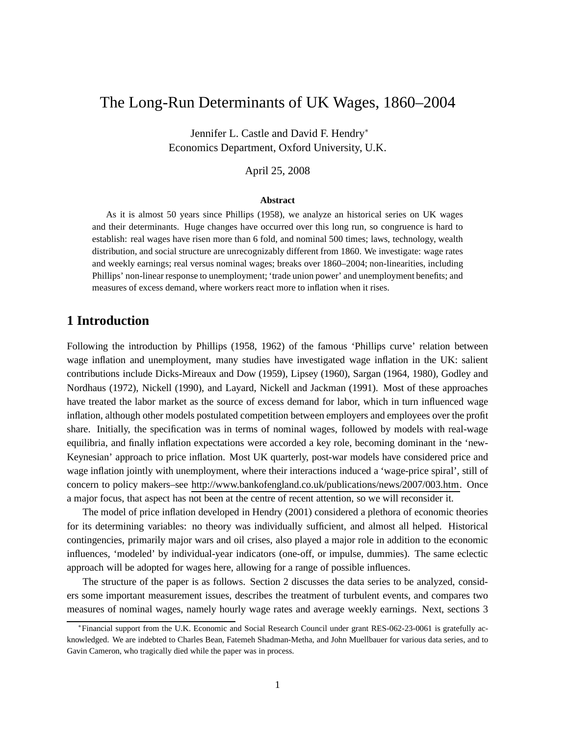# The Long-Run Determinants of UK Wages, 1860–2004

Jennifer L. Castle and David F. Hendry<sup>∗</sup> Economics Department, Oxford University, U.K.

### April 25, 2008

#### **Abstract**

As it is almost 50 years since Phillips (1958), we analyze an historical series on UK wages and their determinants. Huge changes have occurred over this long run, so congruence is hard to establish: real wages have risen more than 6 fold, and nominal 500 times; laws, technology, wealth distribution, and social structure are unrecognizably different from 1860. We investigate: wage rates and weekly earnings; real versus nominal wages; breaks over 1860–2004; non-linearities, including Phillips' non-linear response to unemployment; 'trade union power' and unemployment benefits; and measures of excess demand, where workers react more to inflation when it rises.

## **1 Introduction**

Following the introduction by Phillips (1958, 1962) of the famous 'Phillips curve' relation between wage inflation and unemployment, many studies have investigated wage inflation in the UK: salient contributions include Dicks-Mireaux and Dow (1959), Lipsey (1960), Sargan (1964, 1980), Godley and Nordhaus (1972), Nickell (1990), and Layard, Nickell and Jackman (1991). Most of these approaches have treated the labor market as the source of excess demand for labor, which in turn influenced wage inflation, although other models postulated competition between employers and employees over the profit share. Initially, the specification was in terms of nominal wages, followed by models with real-wage equilibria, and finally inflation expectations were accorded a key role, becoming dominant in the 'new-Keynesian' approach to price inflation. Most UK quarterly, post-war models have considered price and wage inflation jointly with unemployment, where their interactions induced a 'wage-price spiral', still of concern to policy makers–see http://www.bankofengland.co.uk/publications/news/2007/003.htm. Once a major focus, that aspect has not been at the centre of recent attention, so we will reconsider it.

The model of price inflation developed in Hendry (2001) considered a plethora of economic theories for its determining variables: no theory was individually sufficient, and almost all helped. Historical contingencies, primarily major wars and oil crises, also played a major role in addition to the economic influences, 'modeled' by individual-year indicators (one-off, or impulse, dummies). The same eclectic approach will be adopted for wages here, allowing for a range of possible influences.

The structure of the paper is as follows. Section 2 discusses the data series to be analyzed, considers some important measurement issues, describes the treatment of turbulent events, and compares two measures of nominal wages, namely hourly wage rates and average weekly earnings. Next, sections 3

<sup>∗</sup>Financial support from the U.K. Economic and Social Research Council under grant RES-062-23-0061 is gratefully acknowledged. We are indebted to Charles Bean, Fatemeh Shadman-Metha, and John Muellbauer for various data series, and to Gavin Cameron, who tragically died while the paper was in process.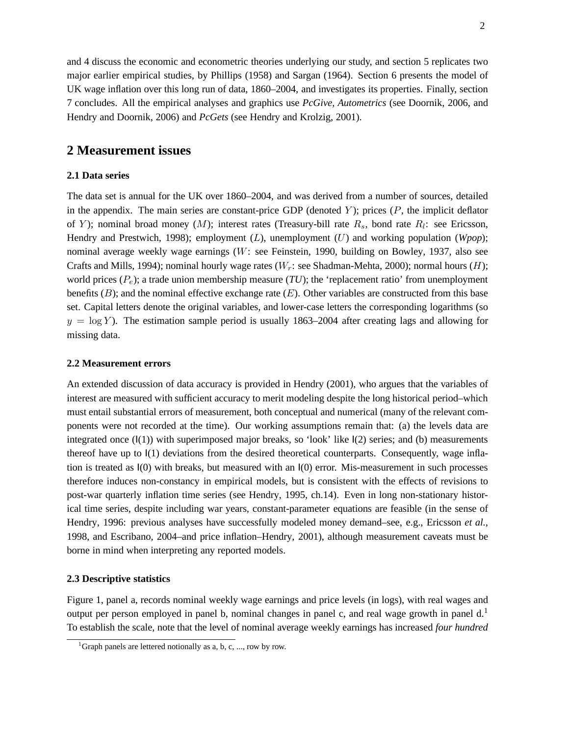and 4 discuss the economic and econometric theories underlying our study, and section 5 replicates two major earlier empirical studies, by Phillips (1958) and Sargan (1964). Section 6 presents the model of UK wage inflation over this long run of data, 1860–2004, and investigates its properties. Finally, section 7 concludes. All the empirical analyses and graphics use *PcGive*, *Autometrics* (see Doornik, 2006, and Hendry and Doornik, 2006) and *PcGets* (see Hendry and Krolzig, 2001).

## **2 Measurement issues**

#### **2.1 Data series**

The data set is annual for the UK over 1860–2004, and was derived from a number of sources, detailed in the appendix. The main series are constant-price GDP (denoted  $Y$ ); prices  $(P,$  the implicit deflator of Y); nominal broad money (M); interest rates (Treasury-bill rate  $R_s$ , bond rate  $R_l$ : see Ericsson, Hendry and Prestwich, 1998); employment (L), unemployment (U) and working population (*Wpop*); nominal average weekly wage earnings (W: see Feinstein, 1990, building on Bowley, 1937, also see Crafts and Mills, 1994); nominal hourly wage rates ( $W_r$ : see Shadman-Mehta, 2000); normal hours (H); world prices  $(P_e)$ ; a trade union membership measure  $(TU)$ ; the 'replacement ratio' from unemployment benefits  $(B)$ ; and the nominal effective exchange rate  $(E)$ . Other variables are constructed from this base set. Capital letters denote the original variables, and lower-case letters the corresponding logarithms (so  $y = \log Y$ ). The estimation sample period is usually 1863–2004 after creating lags and allowing for missing data.

#### **2.2 Measurement errors**

An extended discussion of data accuracy is provided in Hendry (2001), who argues that the variables of interest are measured with sufficient accuracy to merit modeling despite the long historical period–which must entail substantial errors of measurement, both conceptual and numerical (many of the relevant components were not recorded at the time). Our working assumptions remain that: (a) the levels data are integrated once  $(\mathsf{I}(1))$  with superimposed major breaks, so 'look' like  $\mathsf{I}(2)$  series; and (b) measurements thereof have up to I(1) deviations from the desired theoretical counterparts. Consequently, wage inflation is treated as I(0) with breaks, but measured with an I(0) error. Mis-measurement in such processes therefore induces non-constancy in empirical models, but is consistent with the effects of revisions to post-war quarterly inflation time series (see Hendry, 1995, ch.14). Even in long non-stationary historical time series, despite including war years, constant-parameter equations are feasible (in the sense of Hendry, 1996: previous analyses have successfully modeled money demand–see, e.g., Ericsson *et al.*, 1998, and Escribano, 2004–and price inflation–Hendry, 2001), although measurement caveats must be borne in mind when interpreting any reported models.

#### **2.3 Descriptive statistics**

Figure 1, panel a, records nominal weekly wage earnings and price levels (in logs), with real wages and output per person employed in panel b, nominal changes in panel c, and real wage growth in panel d.<sup>1</sup> To establish the scale, note that the level of nominal average weekly earnings has increased *four hundred*

<sup>&</sup>lt;sup>1</sup>Graph panels are lettered notionally as a, b, c, ..., row by row.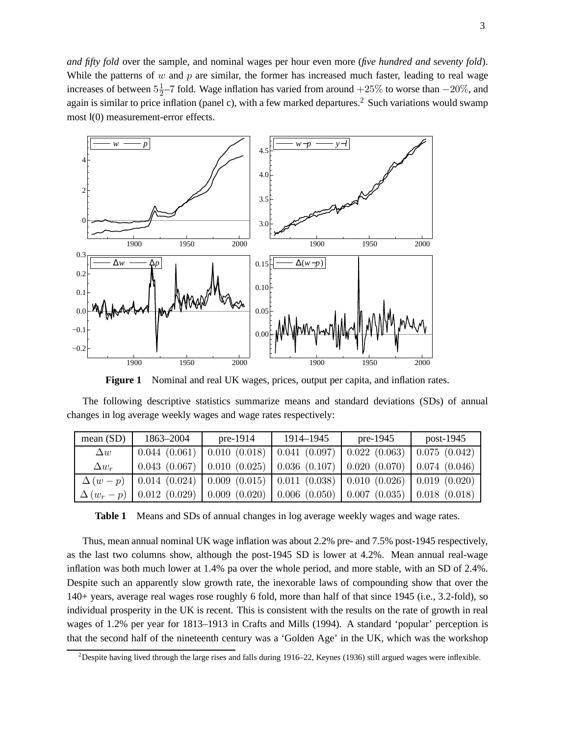*and fifty fold* over the sample, and nominal wages per hour even more (*five hundred and seventy fold*). While the patterns of  $w$  and  $p$  are similar, the former has increased much faster, leading to real wage increases of between  $5\frac{1}{2}$  $\frac{1}{2}$ –7 fold. Wage inflation has varied from around +25% to worse than  $-20\%$ , and again is similar to price inflation (panel c), with a few marked departures.<sup>2</sup> Such variations would swamp most I(0) measurement-error effects.



**Figure 1** Nominal and real UK wages, prices, output per capita, and inflation rates.

The following descriptive statistics summarize means and standard deviations (SDs) of annual changes in log average weekly wages and wage rates respectively:

| mean $(SD)$  | 1863–2004                                                                                          | pre-1914                                                                                                | 1914–1945 | pre-1945                            | post- $1945$ |  |
|--------------|----------------------------------------------------------------------------------------------------|---------------------------------------------------------------------------------------------------------|-----------|-------------------------------------|--------------|--|
| $\Delta w$   |                                                                                                    | $0.044$ (0.061)   0.010 (0.018)   0.041 (0.097)                                                         |           | $0.022$ $(0.063)$   0.075 $(0.042)$ |              |  |
| $\Delta w_r$ |                                                                                                    | $0.043$ (0.067) $\vert$ 0.010 (0.025) $\vert$ 0.036 (0.107) $\vert$ 0.020 (0.070) $\vert$ 0.074 (0.046) |           |                                     |              |  |
|              | $\Delta (w-p)$   0.014 (0.024)   0.009 (0.015)   0.011 (0.038)   0.010 (0.026)   0.019 (0.020)     |                                                                                                         |           |                                     |              |  |
|              | $\Delta (w_r - p)$   0.012 (0.029)   0.009 (0.020)   0.006 (0.050)   0.007 (0.035)   0.018 (0.018) |                                                                                                         |           |                                     |              |  |

**Table 1** Means and SDs of annual changes in log average weekly wages and wage rates.

Thus, mean annual nominal UK wage inflation was about 2.2% pre- and 7.5% post-1945 respectively, as the last two columns show, although the post-1945 SD is lower at 4.2%. Mean annual real-wage inflation was both much lower at 1.4% pa over the whole period, and more stable, with an SD of 2.4%. Despite such an apparently slow growth rate, the inexorable laws of compounding show that over the 140+ years, average real wages rose roughly 6 fold, more than half of that since 1945 (i.e., 3.2-fold), so individual prosperity in the UK is recent. This is consistent with the results on the rate of growth in real wages of 1.2% per year for 1813–1913 in Crafts and Mills (1994). A standard 'popular' perception is that the second half of the nineteenth century was a 'Golden Age' in the UK, which was the workshop

<sup>&</sup>lt;sup>2</sup>Despite having lived through the large rises and falls during  $1916-22$ , Keynes (1936) still argued wages were inflexible.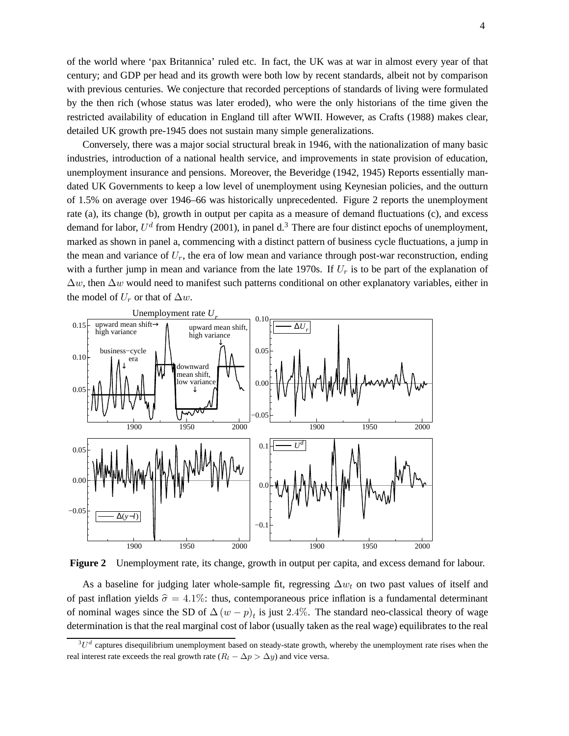of the world where 'pax Britannica' ruled etc. In fact, the UK was at war in almost every year of that century; and GDP per head and its growth were both low by recent standards, albeit not by comparison with previous centuries. We conjecture that recorded perceptions of standards of living were formulated by the then rich (whose status was later eroded), who were the only historians of the time given the restricted availability of education in England till after WWII. However, as Crafts (1988) makes clear, detailed UK growth pre-1945 does not sustain many simple generalizations.

Conversely, there was a major social structural break in 1946, with the nationalization of many basic industries, introduction of a national health service, and improvements in state provision of education, unemployment insurance and pensions. Moreover, the Beveridge (1942, 1945) Reports essentially mandated UK Governments to keep a low level of unemployment using Keynesian policies, and the outturn of 1.5% on average over 1946–66 was historically unprecedented. Figure 2 reports the unemployment rate (a), its change (b), growth in output per capita as a measure of demand fluctuations (c), and excess demand for labor,  $U^d$  from Hendry (2001), in panel d.<sup>3</sup> There are four distinct epochs of unemployment, marked as shown in panel a, commencing with a distinct pattern of business cycle fluctuations, a jump in the mean and variance of  $U_r$ , the era of low mean and variance through post-war reconstruction, ending with a further jump in mean and variance from the late 1970s. If  $U_r$  is to be part of the explanation of  $\Delta w$ , then  $\Delta w$  would need to manifest such patterns conditional on other explanatory variables, either in the model of  $U_r$  or that of  $\Delta w$ .



**Figure 2** Unemployment rate, its change, growth in output per capita, and excess demand for labour.

As a baseline for judging later whole-sample fit, regressing  $\Delta w_t$  on two past values of itself and of past inflation yields  $\hat{\sigma} = 4.1\%$ : thus, contemporaneous price inflation is a fundamental determinant of nominal wages since the SD of  $\Delta (w - p)_t$  is just 2.4%. The standard neo-classical theory of wage determination is that the real marginal cost of labor (usually taken as the real wage) equilibrates to the real

 ${}^{3}U^{d}$  captures disequilibrium unemployment based on steady-state growth, whereby the unemployment rate rises when the real interest rate exceeds the real growth rate  $(R_l - \Delta p > \Delta y)$  and vice versa.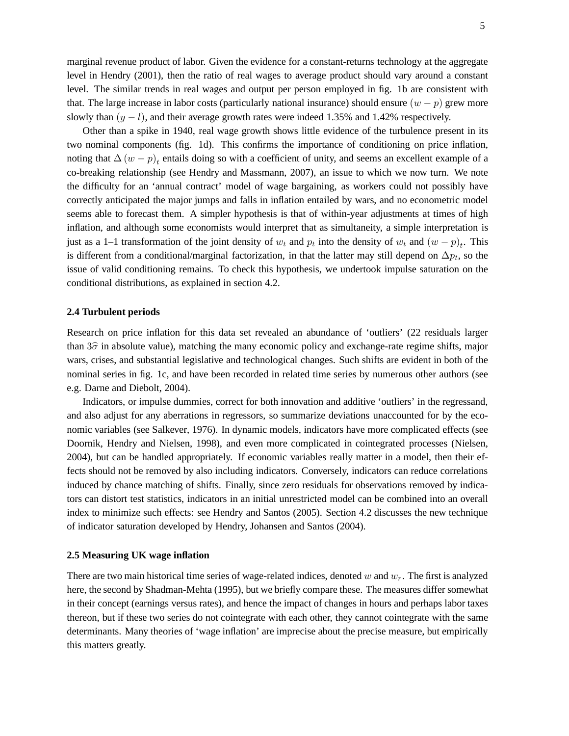marginal revenue product of labor. Given the evidence for a constant-returns technology at the aggregate level in Hendry (2001), then the ratio of real wages to average product should vary around a constant level. The similar trends in real wages and output per person employed in fig. 1b are consistent with that. The large increase in labor costs (particularly national insurance) should ensure  $(w - p)$  grew more slowly than  $(y - l)$ , and their average growth rates were indeed 1.35% and 1.42% respectively.

Other than a spike in 1940, real wage growth shows little evidence of the turbulence present in its two nominal components (fig. 1d). This confirms the importance of conditioning on price inflation, noting that  $\Delta (w - p)_t$  entails doing so with a coefficient of unity, and seems an excellent example of a co-breaking relationship (see Hendry and Massmann, 2007), an issue to which we now turn. We note the difficulty for an 'annual contract' model of wage bargaining, as workers could not possibly have correctly anticipated the major jumps and falls in inflation entailed by wars, and no econometric model seems able to forecast them. A simpler hypothesis is that of within-year adjustments at times of high inflation, and although some economists would interpret that as simultaneity, a simple interpretation is just as a 1–1 transformation of the joint density of  $w_t$  and  $p_t$  into the density of  $w_t$  and  $(w - p)_t$ . This is different from a conditional/marginal factorization, in that the latter may still depend on  $\Delta p_t$ , so the issue of valid conditioning remains. To check this hypothesis, we undertook impulse saturation on the conditional distributions, as explained in section 4.2.

#### **2.4 Turbulent periods**

Research on price inflation for this data set revealed an abundance of 'outliers' (22 residuals larger than  $3\hat{\sigma}$  in absolute value), matching the many economic policy and exchange-rate regime shifts, major wars, crises, and substantial legislative and technological changes. Such shifts are evident in both of the nominal series in fig. 1c, and have been recorded in related time series by numerous other authors (see e.g. Darne and Diebolt, 2004).

Indicators, or impulse dummies, correct for both innovation and additive 'outliers' in the regressand, and also adjust for any aberrations in regressors, so summarize deviations unaccounted for by the economic variables (see Salkever, 1976). In dynamic models, indicators have more complicated effects (see Doornik, Hendry and Nielsen, 1998), and even more complicated in cointegrated processes (Nielsen, 2004), but can be handled appropriately. If economic variables really matter in a model, then their effects should not be removed by also including indicators. Conversely, indicators can reduce correlations induced by chance matching of shifts. Finally, since zero residuals for observations removed by indicators can distort test statistics, indicators in an initial unrestricted model can be combined into an overall index to minimize such effects: see Hendry and Santos (2005). Section 4.2 discusses the new technique of indicator saturation developed by Hendry, Johansen and Santos (2004).

#### **2.5 Measuring UK wage inflation**

There are two main historical time series of wage-related indices, denoted w and  $w_r$ . The first is analyzed here, the second by Shadman-Mehta (1995), but we briefly compare these. The measures differ somewhat in their concept (earnings versus rates), and hence the impact of changes in hours and perhaps labor taxes thereon, but if these two series do not cointegrate with each other, they cannot cointegrate with the same determinants. Many theories of 'wage inflation' are imprecise about the precise measure, but empirically this matters greatly.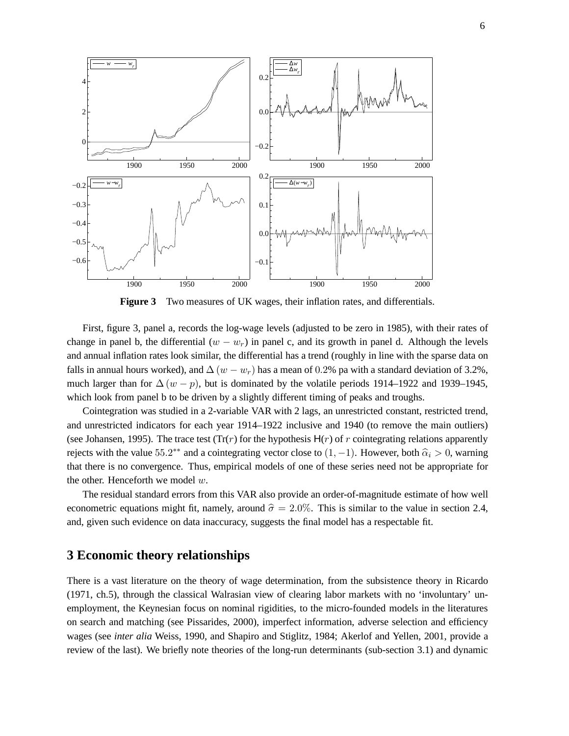

**Figure 3** Two measures of UK wages, their inflation rates, and differentials.

First, figure 3, panel a, records the log-wage levels (adjusted to be zero in 1985), with their rates of change in panel b, the differential  $(w - w_r)$  in panel c, and its growth in panel d. Although the levels and annual inflation rates look similar, the differential has a trend (roughly in line with the sparse data on falls in annual hours worked), and  $\Delta (w - w_r)$  has a mean of 0.2% pa with a standard deviation of 3.2%, much larger than for  $\Delta (w - p)$ , but is dominated by the volatile periods 1914–1922 and 1939–1945, which look from panel b to be driven by a slightly different timing of peaks and troughs.

Cointegration was studied in a 2-variable VAR with 2 lags, an unrestricted constant, restricted trend, and unrestricted indicators for each year 1914–1922 inclusive and 1940 (to remove the main outliers) (see Johansen, 1995). The trace test (Tr(r) for the hypothesis  $H(r)$  of r cointegrating relations apparently rejects with the value 55.2<sup>\*\*</sup> and a cointegrating vector close to  $(1, -1)$ . However, both  $\hat{\alpha}_i > 0$ , warning that there is no convergence. Thus, empirical models of one of these series need not be appropriate for the other. Henceforth we model  $w$ .

The residual standard errors from this VAR also provide an order-of-magnitude estimate of how well econometric equations might fit, namely, around  $\hat{\sigma} = 2.0\%$ . This is similar to the value in section 2.4, and, given such evidence on data inaccuracy, suggests the final model has a respectable fit.

## **3 Economic theory relationships**

There is a vast literature on the theory of wage determination, from the subsistence theory in Ricardo (1971, ch.5), through the classical Walrasian view of clearing labor markets with no 'involuntary' unemployment, the Keynesian focus on nominal rigidities, to the micro-founded models in the literatures on search and matching (see Pissarides, 2000), imperfect information, adverse selection and efficiency wages (see *inter alia* Weiss, 1990, and Shapiro and Stiglitz, 1984; Akerlof and Yellen, 2001, provide a review of the last). We briefly note theories of the long-run determinants (sub-section 3.1) and dynamic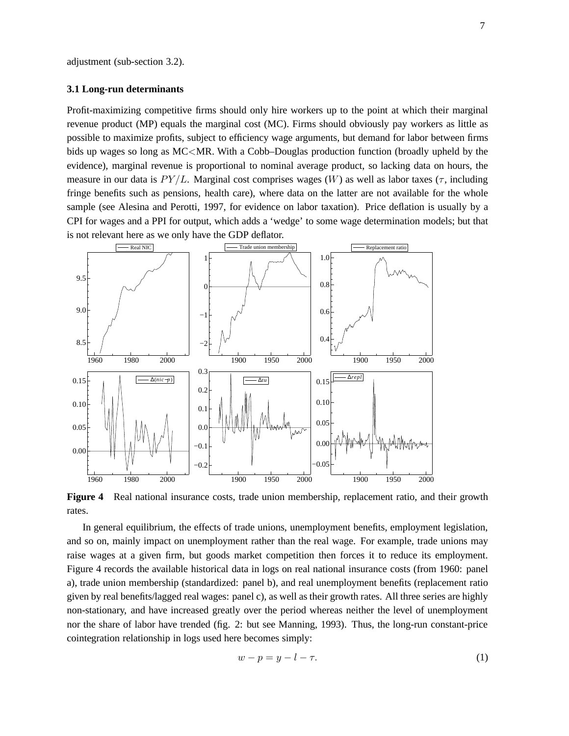#### **3.1 Long-run determinants**

Profit-maximizing competitive firms should only hire workers up to the point at which their marginal revenue product (MP) equals the marginal cost (MC). Firms should obviously pay workers as little as possible to maximize profits, subject to efficiency wage arguments, but demand for labor between firms bids up wages so long as MC<MR. With a Cobb–Douglas production function (broadly upheld by the evidence), marginal revenue is proportional to nominal average product, so lacking data on hours, the measure in our data is  $PY/L$ . Marginal cost comprises wages (W) as well as labor taxes ( $\tau$ , including fringe benefits such as pensions, health care), where data on the latter are not available for the whole sample (see Alesina and Perotti, 1997, for evidence on labor taxation). Price deflation is usually by a CPI for wages and a PPI for output, which adds a 'wedge' to some wage determination models; but that is not relevant here as we only have the GDP deflator.



**Figure 4** Real national insurance costs, trade union membership, replacement ratio, and their growth rates.

In general equilibrium, the effects of trade unions, unemployment benefits, employment legislation, and so on, mainly impact on unemployment rather than the real wage. For example, trade unions may raise wages at a given firm, but goods market competition then forces it to reduce its employment. Figure 4 records the available historical data in logs on real national insurance costs (from 1960: panel a), trade union membership (standardized: panel b), and real unemployment benefits (replacement ratio given by real benefits/lagged real wages: panel c), as well as their growth rates. All three series are highly non-stationary, and have increased greatly over the period whereas neither the level of unemployment nor the share of labor have trended (fig. 2: but see Manning, 1993). Thus, the long-run constant-price cointegration relationship in logs used here becomes simply:

$$
w - p = y - l - \tau. \tag{1}
$$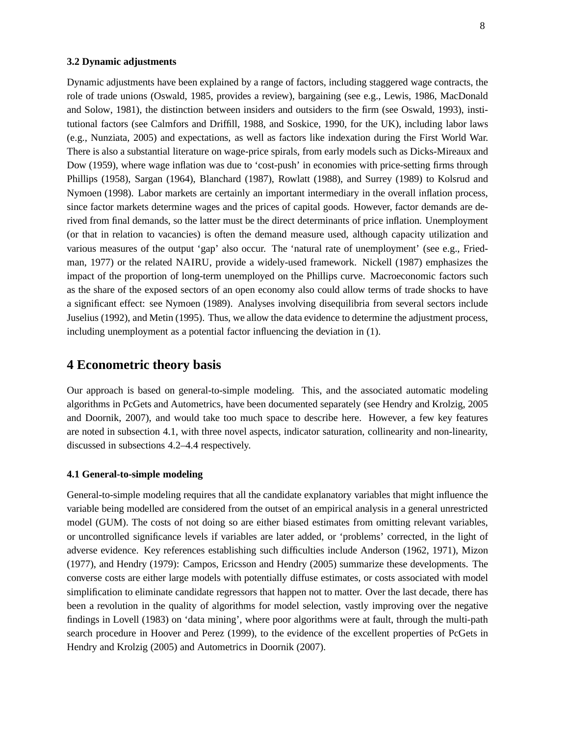#### **3.2 Dynamic adjustments**

Dynamic adjustments have been explained by a range of factors, including staggered wage contracts, the role of trade unions (Oswald, 1985, provides a review), bargaining (see e.g., Lewis, 1986, MacDonald and Solow, 1981), the distinction between insiders and outsiders to the firm (see Oswald, 1993), institutional factors (see Calmfors and Driffill, 1988, and Soskice, 1990, for the UK), including labor laws (e.g., Nunziata, 2005) and expectations, as well as factors like indexation during the First World War. There is also a substantial literature on wage-price spirals, from early models such as Dicks-Mireaux and Dow (1959), where wage inflation was due to 'cost-push' in economies with price-setting firms through Phillips (1958), Sargan (1964), Blanchard (1987), Rowlatt (1988), and Surrey (1989) to Kolsrud and Nymoen (1998). Labor markets are certainly an important intermediary in the overall inflation process, since factor markets determine wages and the prices of capital goods. However, factor demands are derived from final demands, so the latter must be the direct determinants of price inflation. Unemployment (or that in relation to vacancies) is often the demand measure used, although capacity utilization and various measures of the output 'gap' also occur. The 'natural rate of unemployment' (see e.g., Friedman, 1977) or the related NAIRU, provide a widely-used framework. Nickell (1987) emphasizes the impact of the proportion of long-term unemployed on the Phillips curve. Macroeconomic factors such as the share of the exposed sectors of an open economy also could allow terms of trade shocks to have a significant effect: see Nymoen (1989). Analyses involving disequilibria from several sectors include Juselius (1992), and Metin (1995). Thus, we allow the data evidence to determine the adjustment process, including unemployment as a potential factor influencing the deviation in (1).

## **4 Econometric theory basis**

Our approach is based on general-to-simple modeling. This, and the associated automatic modeling algorithms in PcGets and Autometrics, have been documented separately (see Hendry and Krolzig, 2005 and Doornik, 2007), and would take too much space to describe here. However, a few key features are noted in subsection 4.1, with three novel aspects, indicator saturation, collinearity and non-linearity, discussed in subsections 4.2–4.4 respectively.

#### **4.1 General-to-simple modeling**

General-to-simple modeling requires that all the candidate explanatory variables that might influence the variable being modelled are considered from the outset of an empirical analysis in a general unrestricted model (GUM). The costs of not doing so are either biased estimates from omitting relevant variables, or uncontrolled significance levels if variables are later added, or 'problems' corrected, in the light of adverse evidence. Key references establishing such difficulties include Anderson (1962, 1971), Mizon (1977), and Hendry (1979): Campos, Ericsson and Hendry (2005) summarize these developments. The converse costs are either large models with potentially diffuse estimates, or costs associated with model simplification to eliminate candidate regressors that happen not to matter. Over the last decade, there has been a revolution in the quality of algorithms for model selection, vastly improving over the negative findings in Lovell (1983) on 'data mining', where poor algorithms were at fault, through the multi-path search procedure in Hoover and Perez (1999), to the evidence of the excellent properties of PcGets in Hendry and Krolzig (2005) and Autometrics in Doornik (2007).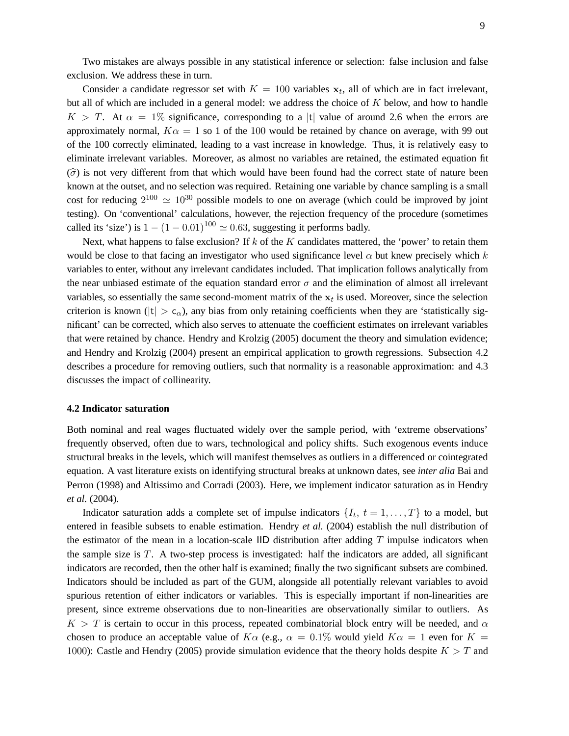Two mistakes are always possible in any statistical inference or selection: false inclusion and false exclusion. We address these in turn.

Consider a candidate regressor set with  $K = 100$  variables  $x_t$ , all of which are in fact irrelevant, but all of which are included in a general model: we address the choice of K below, and how to handle  $K > T$ . At  $\alpha = 1\%$  significance, corresponding to a |t| value of around 2.6 when the errors are approximately normal,  $K\alpha = 1$  so 1 of the 100 would be retained by chance on average, with 99 out of the 100 correctly eliminated, leading to a vast increase in knowledge. Thus, it is relatively easy to eliminate irrelevant variables. Moreover, as almost no variables are retained, the estimated equation fit  $(\widehat{\sigma})$  is not very different from that which would have been found had the correct state of nature been known at the outset, and no selection was required. Retaining one variable by chance sampling is a small cost for reducing  $2^{100} \simeq 10^{30}$  possible models to one on average (which could be improved by joint testing). On 'conventional' calculations, however, the rejection frequency of the procedure (sometimes called its 'size') is  $1 - (1 - 0.01)^{100} \approx 0.63$ , suggesting it performs badly.

Next, what happens to false exclusion? If  $k$  of the  $K$  candidates mattered, the 'power' to retain them would be close to that facing an investigator who used significance level  $\alpha$  but knew precisely which k variables to enter, without any irrelevant candidates included. That implication follows analytically from the near unbiased estimate of the equation standard error  $\sigma$  and the elimination of almost all irrelevant variables, so essentially the same second-moment matrix of the  $x_t$  is used. Moreover, since the selection criterion is known ( $|t| > c_{\alpha}$ ), any bias from only retaining coefficients when they are 'statistically significant' can be corrected, which also serves to attenuate the coefficient estimates on irrelevant variables that were retained by chance. Hendry and Krolzig (2005) document the theory and simulation evidence; and Hendry and Krolzig (2004) present an empirical application to growth regressions. Subsection 4.2 describes a procedure for removing outliers, such that normality is a reasonable approximation: and 4.3 discusses the impact of collinearity.

#### **4.2 Indicator saturation**

Both nominal and real wages fluctuated widely over the sample period, with 'extreme observations' frequently observed, often due to wars, technological and policy shifts. Such exogenous events induce structural breaks in the levels, which will manifest themselves as outliers in a differenced or cointegrated equation. A vast literature exists on identifying structural breaks at unknown dates, see *inter alia* Bai and Perron (1998) and Altissimo and Corradi (2003). Here, we implement indicator saturation as in Hendry *et al.* (2004).

Indicator saturation adds a complete set of impulse indicators  $\{I_t, t = 1, \ldots, T\}$  to a model, but entered in feasible subsets to enable estimation. Hendry *et al.* (2004) establish the null distribution of the estimator of the mean in a location-scale  $\text{IID}\xspace$  distribution after adding T impulse indicators when the sample size is  $T$ . A two-step process is investigated: half the indicators are added, all significant indicators are recorded, then the other half is examined; finally the two significant subsets are combined. Indicators should be included as part of the GUM, alongside all potentially relevant variables to avoid spurious retention of either indicators or variables. This is especially important if non-linearities are present, since extreme observations due to non-linearities are observationally similar to outliers. As  $K > T$  is certain to occur in this process, repeated combinatorial block entry will be needed, and  $\alpha$ chosen to produce an acceptable value of  $K\alpha$  (e.g.,  $\alpha = 0.1\%$  would yield  $K\alpha = 1$  even for  $K =$ 1000): Castle and Hendry (2005) provide simulation evidence that the theory holds despite  $K > T$  and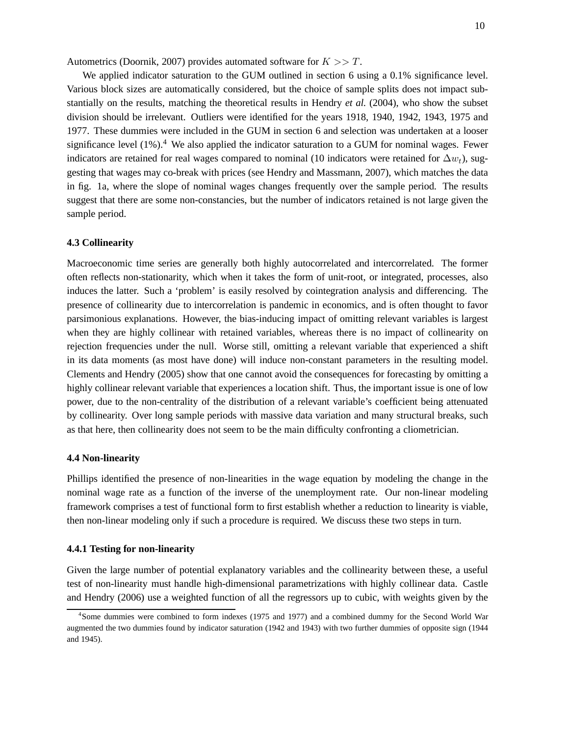Autometrics (Doornik, 2007) provides automated software for  $K \gg T$ .

We applied indicator saturation to the GUM outlined in section 6 using a 0.1% significance level. Various block sizes are automatically considered, but the choice of sample splits does not impact substantially on the results, matching the theoretical results in Hendry *et al.* (2004), who show the subset division should be irrelevant. Outliers were identified for the years 1918, 1940, 1942, 1943, 1975 and 1977. These dummies were included in the GUM in section 6 and selection was undertaken at a looser significance level  $(1\%)$ <sup>4</sup>. We also applied the indicator saturation to a GUM for nominal wages. Fewer indicators are retained for real wages compared to nominal (10 indicators were retained for  $\Delta w_t$ ), suggesting that wages may co-break with prices (see Hendry and Massmann, 2007), which matches the data in fig. 1a, where the slope of nominal wages changes frequently over the sample period. The results suggest that there are some non-constancies, but the number of indicators retained is not large given the sample period.

#### **4.3 Collinearity**

Macroeconomic time series are generally both highly autocorrelated and intercorrelated. The former often reflects non-stationarity, which when it takes the form of unit-root, or integrated, processes, also induces the latter. Such a 'problem' is easily resolved by cointegration analysis and differencing. The presence of collinearity due to intercorrelation is pandemic in economics, and is often thought to favor parsimonious explanations. However, the bias-inducing impact of omitting relevant variables is largest when they are highly collinear with retained variables, whereas there is no impact of collinearity on rejection frequencies under the null. Worse still, omitting a relevant variable that experienced a shift in its data moments (as most have done) will induce non-constant parameters in the resulting model. Clements and Hendry (2005) show that one cannot avoid the consequences for forecasting by omitting a highly collinear relevant variable that experiences a location shift. Thus, the important issue is one of low power, due to the non-centrality of the distribution of a relevant variable's coefficient being attenuated by collinearity. Over long sample periods with massive data variation and many structural breaks, such as that here, then collinearity does not seem to be the main difficulty confronting a cliometrician.

### **4.4 Non-linearity**

Phillips identified the presence of non-linearities in the wage equation by modeling the change in the nominal wage rate as a function of the inverse of the unemployment rate. Our non-linear modeling framework comprises a test of functional form to first establish whether a reduction to linearity is viable, then non-linear modeling only if such a procedure is required. We discuss these two steps in turn.

#### **4.4.1 Testing for non-linearity**

Given the large number of potential explanatory variables and the collinearity between these, a useful test of non-linearity must handle high-dimensional parametrizations with highly collinear data. Castle and Hendry (2006) use a weighted function of all the regressors up to cubic, with weights given by the

<sup>4</sup> Some dummies were combined to form indexes (1975 and 1977) and a combined dummy for the Second World War augmented the two dummies found by indicator saturation (1942 and 1943) with two further dummies of opposite sign (1944 and 1945).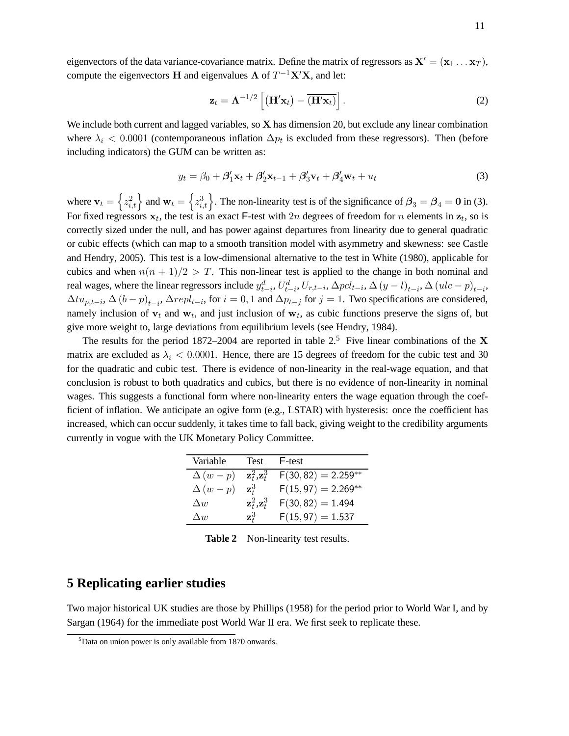eigenvectors of the data variance-covariance matrix. Define the matrix of regressors as  $X' = (x_1 \dots x_T)$ , compute the eigenvectors **H** and eigenvalues  $\Lambda$  of  $T^{-1}X'X$ , and let:

$$
\mathbf{z}_t = \mathbf{\Lambda}^{-1/2} \left[ \left( \mathbf{H}' \mathbf{x}_t \right) - \overline{\left( \mathbf{H}' \mathbf{x}_t \right)} \right]. \tag{2}
$$

We include both current and lagged variables, so  $X$  has dimension 20, but exclude any linear combination where  $\lambda_i$  < 0.0001 (contemporaneous inflation  $\Delta p_t$  is excluded from these regressors). Then (before including indicators) the GUM can be written as:

$$
y_t = \beta_0 + \beta'_1 \mathbf{x}_t + \beta'_2 \mathbf{x}_{t-1} + \beta'_3 \mathbf{v}_t + \beta'_4 \mathbf{w}_t + u_t
$$
\n(3)

where  $\mathbf{v}_t = \left\{ z_{i,t}^2 \right\}$  and  $\mathbf{w}_t = \left\{ z_{i,t}^3 \right\}$ . The non-linearity test is of the significance of  $\mathbf{\beta}_3 = \mathbf{\beta}_4 = \mathbf{0}$  in (3). For fixed regressors  $x_t$ , the test is an exact F-test with 2n degrees of freedom for n elements in  $z_t$ , so is correctly sized under the null, and has power against departures from linearity due to general quadratic or cubic effects (which can map to a smooth transition model with asymmetry and skewness: see Castle and Hendry, 2005). This test is a low-dimensional alternative to the test in White (1980), applicable for cubics and when  $n(n + 1)/2 > T$ . This non-linear test is applied to the change in both nominal and real wages, where the linear regressors include  $y_{t-i}^d$ ,  $U_{t-i}^d$ ,  $U_{r,t-i}$ ,  $\Delta pcl_{t-i}$ ,  $\Delta (y-l)_{t-i}$ ,  $\Delta (ulc-p)_{t-i}$ ,  $\Delta t u_{p,t-i}$ ,  $\Delta (b-p)_{t-i}$ ,  $\Delta repl_{t-i}$ , for  $i=0,1$  and  $\Delta p_{t-j}$  for  $j=1$ . Two specifications are considered, namely inclusion of  $v_t$  and  $w_t$ , and just inclusion of  $w_t$ , as cubic functions preserve the signs of, but give more weight to, large deviations from equilibrium levels (see Hendry, 1984).

The results for the period 1872–2004 are reported in table 2.<sup>5</sup> Five linear combinations of the X matrix are excluded as  $\lambda_i$  < 0.0001. Hence, there are 15 degrees of freedom for the cubic test and 30 for the quadratic and cubic test. There is evidence of non-linearity in the real-wage equation, and that conclusion is robust to both quadratics and cubics, but there is no evidence of non-linearity in nominal wages. This suggests a functional form where non-linearity enters the wage equation through the coefficient of inflation. We anticipate an ogive form (e.g., LSTAR) with hysteresis: once the coefficient has increased, which can occur suddenly, it takes time to fall back, giving weight to the credibility arguments currently in vogue with the UK Monetary Policy Committee.

| Variable       | Test                             | F-test                |
|----------------|----------------------------------|-----------------------|
| $\Delta (w-p)$ | $\mathbf{z}_t^2, \mathbf{z}_t^3$ | $F(30, 82) = 2.259**$ |
| $\Delta (w-p)$ | $\mathbf{z}_t^3$                 | $F(15, 97) = 2.269**$ |
| $\Delta w$     | $\mathbf{z}_t^2, \mathbf{z}_t^3$ | $F(30, 82) = 1.494$   |
| $\Delta w$     | $\mathbf{z}_t^3$                 | $F(15, 97) = 1.537$   |

**Table 2** Non-linearity test results.

### **5 Replicating earlier studies**

Two major historical UK studies are those by Phillips (1958) for the period prior to World War I, and by Sargan (1964) for the immediate post World War II era. We first seek to replicate these.

<sup>5</sup>Data on union power is only available from 1870 onwards.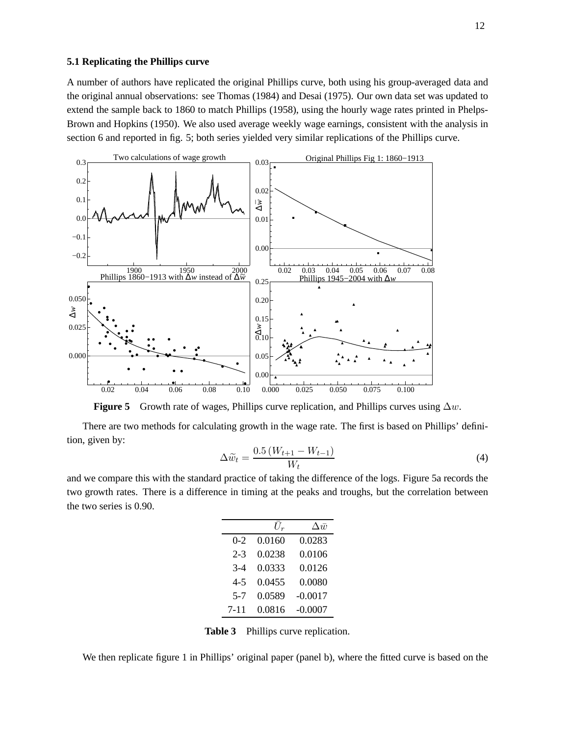### **5.1 Replicating the Phillips curve**

A number of authors have replicated the original Phillips curve, both using his group-averaged data and the original annual observations: see Thomas (1984) and Desai (1975). Our own data set was updated to extend the sample back to 1860 to match Phillips (1958), using the hourly wage rates printed in Phelps-Brown and Hopkins (1950). We also used average weekly wage earnings, consistent with the analysis in section 6 and reported in fig. 5; both series yielded very similar replications of the Phillips curve.



**Figure 5** Growth rate of wages, Phillips curve replication, and Phillips curves using ∆w.

There are two methods for calculating growth in the wage rate. The first is based on Phillips' definition, given by:

$$
\Delta \widetilde{w}_t = \frac{0.5\left(W_{t+1} - W_{t-1}\right)}{W_t} \tag{4}
$$

and we compare this with the standard practice of taking the difference of the logs. Figure 5a records the two growth rates. There is a difference in timing at the peaks and troughs, but the correlation between the two series is 0.90.

|         | $\bar{U_r}$ | $\Delta \bar{w}$ |
|---------|-------------|------------------|
| $0 - 2$ | 0.0160      | 0.0283           |
| $2 - 3$ | 0.0238      | 0.0106           |
| $3-4$   | 0.0333      | 0.0126           |
| $4 - 5$ | 0.0455      | 0.0080           |
| $5 - 7$ | 0.0589      | $-0.0017$        |
| 7-11    | 0.0816      | $-0.0007$        |

**Table 3** Phillips curve replication.

We then replicate figure 1 in Phillips' original paper (panel b), where the fitted curve is based on the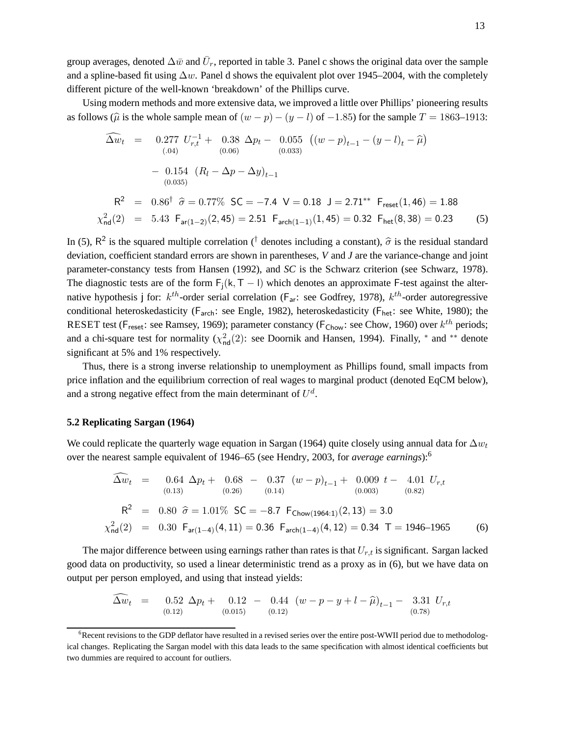group averages, denoted  $\Delta \bar{w}$  and  $\bar{U}_r$ , reported in table 3. Panel c shows the original data over the sample and a spline-based fit using  $\Delta w$ . Panel d shows the equivalent plot over 1945–2004, with the completely different picture of the well-known 'breakdown' of the Phillips curve.

Using modern methods and more extensive data, we improved a little over Phillips' pioneering results as follows ( $\hat{\mu}$  is the whole sample mean of  $(w - p) - (y - l)$  of  $-1.85$ ) for the sample  $T = 1863-1913$ :

$$
\widehat{\Delta w}_{t} = 0.277 U_{r,t}^{-1} + 0.38 \Delta p_{t} - 0.055 ((w - p)_{t-1} - (y - l)_{t} - \widehat{\mu})
$$
  
\n
$$
- 0.154 (R_{l} - \Delta p - \Delta y)_{t-1}
$$
  
\n
$$
R^{2} = 0.86^{\dagger} \widehat{\sigma} = 0.77\% \text{ SC} = -7.4 \text{ V} = 0.18 \text{ J} = 2.71^{**} \text{ Freset(1, 46) = 1.88}
$$
  
\n
$$
\chi^{2}_{\text{nd}}(2) = 5.43 \text{ F}_{\text{ar}(1-2)}(2, 45) = 2.51 \text{ F}_{\text{arch}(1-1)}(1, 45) = 0.32 \text{ F}_{\text{het}}(8, 38) = 0.23
$$
 (5)

In (5),  $R^2$  is the squared multiple correlation (<sup>†</sup> denotes including a constant),  $\hat{\sigma}$  is the residual standard deviation, coefficient standard errors are shown in parentheses, *V* and *J* are the variance-change and joint parameter-constancy tests from Hansen (1992), and *SC* is the Schwarz criterion (see Schwarz, 1978). The diagnostic tests are of the form  $F_i(k, T - 1)$  which denotes an approximate F-test against the alternative hypothesis j for:  $k^{th}$ -order serial correlation ( $F_{ar}$ : see Godfrey, 1978),  $k^{th}$ -order autoregressive conditional heteroskedasticity ( $F_{\text{arch}}$ : see Engle, 1982), heteroskedasticity ( $F_{\text{het}}$ : see White, 1980); the RESET test ( $F_{\text{reset}}$ : see Ramsey, 1969); parameter constancy ( $F_{\text{Chow}}$ : see Chow, 1960) over  $k^{th}$  periods; and a chi-square test for normality  $(\chi^2_{\text{nd}}(2))$ : see Doornik and Hansen, 1994). Finally,  $*$  and  $**$  denote significant at 5% and 1% respectively.

Thus, there is a strong inverse relationship to unemployment as Phillips found, small impacts from price inflation and the equilibrium correction of real wages to marginal product (denoted EqCM below), and a strong negative effect from the main determinant of  $U^d$ .

#### **5.2 Replicating Sargan (1964)**

We could replicate the quarterly wage equation in Sargan (1964) quite closely using annual data for  $\Delta w_t$ over the nearest sample equivalent of 1946–65 (see Hendry, 2003, for *average earnings*):<sup>6</sup>

$$
\Delta w_t = 0.64 \Delta p_t + 0.68 - 0.37 (w - p)_{t-1} + 0.009 t - 4.01 U_{r,t}
$$
  
\n(0.13) (0.26) (0.14) (0.003) (0.82)  
\n
$$
R^2 = 0.80 \hat{\sigma} = 1.01\% \text{ SC} = -8.7 \text{ F}_{\text{Chow}(1964:1)}(2, 13) = 3.0
$$
  
\n
$$
\chi^2_{\text{nd}}(2) = 0.30 \text{ F}_{\text{ar}(1-4)}(4, 11) = 0.36 \text{ F}_{\text{arch}(1-4)}(4, 12) = 0.34 \text{ T} = 1946-1965
$$
 (6)

The major difference between using earnings rather than rates is that  $U_{rt}$  is significant. Sargan lacked good data on productivity, so used a linear deterministic trend as a proxy as in (6), but we have data on output per person employed, and using that instead yields:

$$
\widehat{\Delta w}_t = 0.52 \Delta p_t + 0.12 - 0.44 (w - p - y + l - \widehat{\mu})_{t-1} - 3.31 U_{r,t}
$$
\n
$$
(0.12) (0.015) (0.12)
$$

<sup>&</sup>lt;sup>6</sup>Recent revisions to the GDP deflator have resulted in a revised series over the entire post-WWII period due to methodological changes. Replicating the Sargan model with this data leads to the same specification with almost identical coefficients but two dummies are required to account for outliers.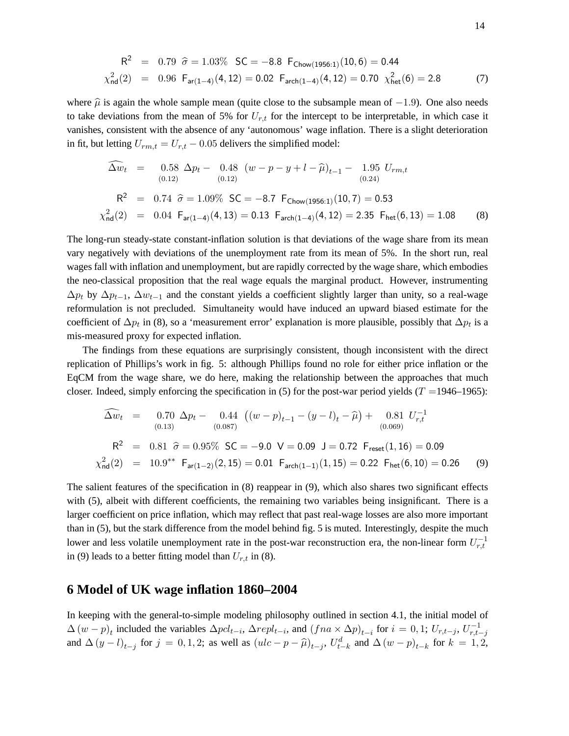$$
R^{2} = 0.79 \hat{\sigma} = 1.03\% \text{ SC} = -8.8 \text{ F}_{\text{Chow}(1956:1)}(10,6) = 0.44
$$
  

$$
\chi^{2}_{\text{nd}}(2) = 0.96 \text{ F}_{\text{ar}(1-4)}(4,12) = 0.02 \text{ F}_{\text{arch}(1-4)}(4,12) = 0.70 \chi^{2}_{\text{het}}(6) = 2.8
$$
 (7)

where  $\hat{\mu}$  is again the whole sample mean (quite close to the subsample mean of  $-1.9$ ). One also needs to take deviations from the mean of 5% for  $U_{r,t}$  for the intercept to be interpretable, in which case it vanishes, consistent with the absence of any 'autonomous' wage inflation. There is a slight deterioration in fit, but letting  $U_{rm, t} = U_{r,t} - 0.05$  delivers the simplified model:

$$
\widehat{\Delta w}_{t} = 0.58 \Delta p_{t} - 0.48 (w - p - y + l - \widehat{\mu})_{t-1} - 1.95 U_{rm,t}
$$
\n
$$
(0.12)
$$
\n
$$
R^{2} = 0.74 \widehat{\sigma} = 1.09\% SC = -8.7 F_{\text{Chow}(1956:1)}(10, 7) = 0.53
$$
\n
$$
\chi^{2}_{\text{nd}}(2) = 0.04 F_{\text{ar}(1-4)}(4, 13) = 0.13 F_{\text{arch}(1-4)}(4, 12) = 2.35 F_{\text{het}}(6, 13) = 1.08
$$
\n(8)

The long-run steady-state constant-inflation solution is that deviations of the wage share from its mean vary negatively with deviations of the unemployment rate from its mean of 5%. In the short run, real wages fall with inflation and unemployment, but are rapidly corrected by the wage share, which embodies the neo-classical proposition that the real wage equals the marginal product. However, instrumenting  $\Delta p_t$  by  $\Delta p_{t-1}$ ,  $\Delta w_{t-1}$  and the constant yields a coefficient slightly larger than unity, so a real-wage reformulation is not precluded. Simultaneity would have induced an upward biased estimate for the coefficient of  $\Delta p_t$  in (8), so a 'measurement error' explanation is more plausible, possibly that  $\Delta p_t$  is a mis-measured proxy for expected inflation.

The findings from these equations are surprisingly consistent, though inconsistent with the direct replication of Phillips's work in fig. 5: although Phillips found no role for either price inflation or the EqCM from the wage share, we do here, making the relationship between the approaches that much closer. Indeed, simply enforcing the specification in (5) for the post-war period yields ( $T = 1946-1965$ ):

$$
\widehat{\Delta w}_{t} = 0.70 \Delta p_{t} - 0.44 \left( (w - p)_{t-1} - (y - l)_{t} - \widehat{\mu} \right) + 0.81 U_{r,t}^{-1}
$$
\n
$$
(0.089)
$$
\n
$$
R^{2} = 0.81 \widehat{\sigma} = 0.95\% \text{ SC} = -9.0 \text{ V} = 0.09 \text{ J} = 0.72 \text{ F}_{\text{reset}}(1, 16) = 0.09
$$
\n
$$
\chi_{\text{nd}}^{2}(2) = 10.9^{**} \text{ F}_{\text{ar}(1-2)}(2, 15) = 0.01 \text{ F}_{\text{arch}(1-1)}(1, 15) = 0.22 \text{ F}_{\text{het}}(6, 10) = 0.26 \quad (9)
$$

The salient features of the specification in (8) reappear in (9), which also shares two significant effects with (5), albeit with different coefficients, the remaining two variables being insignificant. There is a larger coefficient on price inflation, which may reflect that past real-wage losses are also more important than in (5), but the stark difference from the model behind fig. 5 is muted. Interestingly, despite the much lower and less volatile unemployment rate in the post-war reconstruction era, the non-linear form  $U_{r,t}^{-1}$ in (9) leads to a better fitting model than  $U_{r,t}$  in (8).

### **6 Model of UK wage inflation 1860–2004**

In keeping with the general-to-simple modeling philosophy outlined in section 4.1, the initial model of  $\Delta (w-p)_t$  included the variables  $\Delta pcl_{t-i}$ ,  $\Delta repl_{t-i}$ , and  $(fna \times \Delta p)_{t-i}$  for  $i = 0,1; U_{r,t-j}$ ,  $U_{r,t-j}^{-1}$ and  $\Delta (y - l)_{t-j}$  for  $j = 0, 1, 2$ ; as well as  $(ulc - p - \hat{\mu})_{t-j}$ ,  $U_{t-k}^d$  and  $\Delta (w - p)_{t-k}$  for  $k = 1, 2$ ,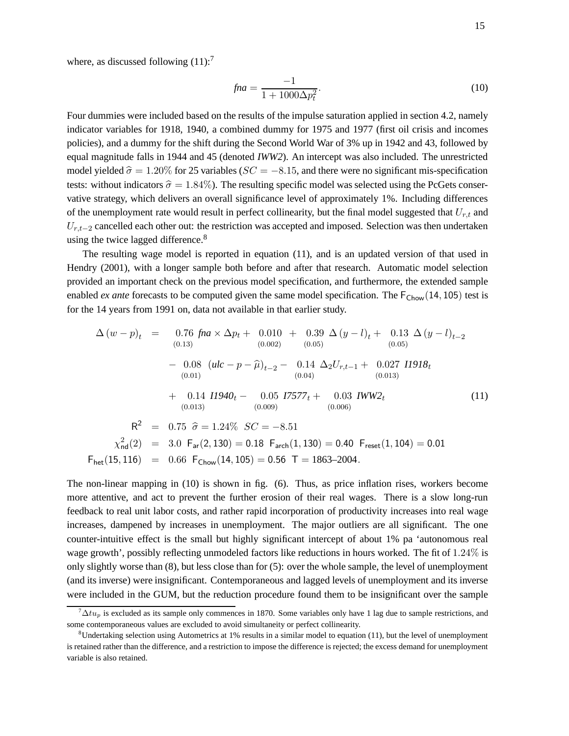where, as discussed following  $(11)$ :<sup>7</sup>

$$
fna = \frac{-1}{1 + 1000\Delta p_t^2}.
$$
\n(10)

Four dummies were included based on the results of the impulse saturation applied in section 4.2, namely indicator variables for 1918, 1940, a combined dummy for 1975 and 1977 (first oil crisis and incomes policies), and a dummy for the shift during the Second World War of 3% up in 1942 and 43, followed by equal magnitude falls in 1944 and 45 (denoted *IWW2*). An intercept was also included. The unrestricted model yielded  $\hat{\sigma} = 1.20\%$  for 25 variables ( $SC = -8.15$ , and there were no significant mis-specification tests: without indicators  $\hat{\sigma} = 1.84\%$ ). The resulting specific model was selected using the PcGets conservative strategy, which delivers an overall significance level of approximately 1%. Including differences of the unemployment rate would result in perfect collinearity, but the final model suggested that  $U_{r,t}$  and  $U_{r,t-2}$  cancelled each other out: the restriction was accepted and imposed. Selection was then undertaken using the twice lagged difference.<sup>8</sup>

The resulting wage model is reported in equation (11), and is an updated version of that used in Hendry (2001), with a longer sample both before and after that research. Automatic model selection provided an important check on the previous model specification, and furthermore, the extended sample enabled *ex ante* forecasts to be computed given the same model specification. The  $F_{Chow}(14, 105)$  test is for the 14 years from 1991 on, data not available in that earlier study.

$$
\Delta (w - p)_t = 0.76 \text{ fina} \times \Delta p_t + 0.010 + 0.39 \Delta (y - l)_t + 0.13 \Delta (y - l)_{t-2}
$$
  
\n(0.13)  
\n
$$
- 0.08 (ulc - p - \hat{\mu})_{t-2} - 0.14 \Delta_2 U_{r,t-1} + 0.027 \text{ H918}_t
$$
  
\n(0.01)  
\n
$$
+ 0.14 \text{ H940}_t - 0.05 \text{ H7577}_t + 0.03 \text{ IWW2}_t
$$
  
\n(0.013)  
\n
$$
R^2 = 0.75 \hat{\sigma} = 1.24\% \text{ SC} = -8.51
$$
  
\n
$$
\chi^2_{\text{nd}}(2) = 3.0 \text{ F}_{\text{ar}}(2, 130) = 0.18 \text{ F}_{\text{arch}}(1, 130) = 0.40 \text{ F}_{\text{reset}}(1, 104) = 0.01
$$
  
\n
$$
F_{\text{het}}(15, 116) = 0.66 \text{ F}_{\text{Chow}}(14, 105) = 0.56 \text{ T} = 1863-2004.
$$
  
\n(11)

The non-linear mapping in (10) is shown in fig. (6). Thus, as price inflation rises, workers become more attentive, and act to prevent the further erosion of their real wages. There is a slow long-run feedback to real unit labor costs, and rather rapid incorporation of productivity increases into real wage increases, dampened by increases in unemployment. The major outliers are all significant. The one counter-intuitive effect is the small but highly significant intercept of about 1% pa 'autonomous real wage growth', possibly reflecting unmodeled factors like reductions in hours worked. The fit of 1.24% is only slightly worse than (8), but less close than for (5): over the whole sample, the level of unemployment (and its inverse) were insignificant. Contemporaneous and lagged levels of unemployment and its inverse were included in the GUM, but the reduction procedure found them to be insignificant over the sample

 $\alpha^7 \Delta t u_p$  is excluded as its sample only commences in 1870. Some variables only have 1 lag due to sample restrictions, and some contemporaneous values are excluded to avoid simultaneity or perfect collinearity.

 ${}^8$ Undertaking selection using Autometrics at 1% results in a similar model to equation (11), but the level of unemployment is retained rather than the difference, and a restriction to impose the difference is rejected; the excess demand for unemployment variable is also retained.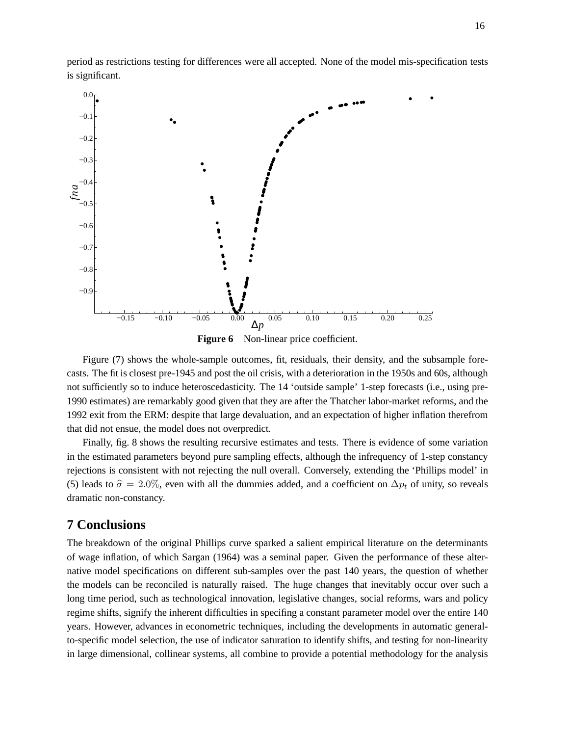period as restrictions testing for differences were all accepted. None of the model mis-specification tests is significant.



**Figure 6** Non-linear price coefficient.

Figure (7) shows the whole-sample outcomes, fit, residuals, their density, and the subsample forecasts. The fit is closest pre-1945 and post the oil crisis, with a deterioration in the 1950s and 60s, although not sufficiently so to induce heteroscedasticity. The 14 'outside sample' 1-step forecasts (i.e., using pre-1990 estimates) are remarkably good given that they are after the Thatcher labor-market reforms, and the 1992 exit from the ERM: despite that large devaluation, and an expectation of higher inflation therefrom that did not ensue, the model does not overpredict.

Finally, fig. 8 shows the resulting recursive estimates and tests. There is evidence of some variation in the estimated parameters beyond pure sampling effects, although the infrequency of 1-step constancy rejections is consistent with not rejecting the null overall. Conversely, extending the 'Phillips model' in (5) leads to  $\hat{\sigma} = 2.0\%$ , even with all the dummies added, and a coefficient on  $\Delta p_t$  of unity, so reveals dramatic non-constancy.

## **7 Conclusions**

The breakdown of the original Phillips curve sparked a salient empirical literature on the determinants of wage inflation, of which Sargan (1964) was a seminal paper. Given the performance of these alternative model specifications on different sub-samples over the past 140 years, the question of whether the models can be reconciled is naturally raised. The huge changes that inevitably occur over such a long time period, such as technological innovation, legislative changes, social reforms, wars and policy regime shifts, signify the inherent difficulties in specifing a constant parameter model over the entire 140 years. However, advances in econometric techniques, including the developments in automatic generalto-specific model selection, the use of indicator saturation to identify shifts, and testing for non-linearity in large dimensional, collinear systems, all combine to provide a potential methodology for the analysis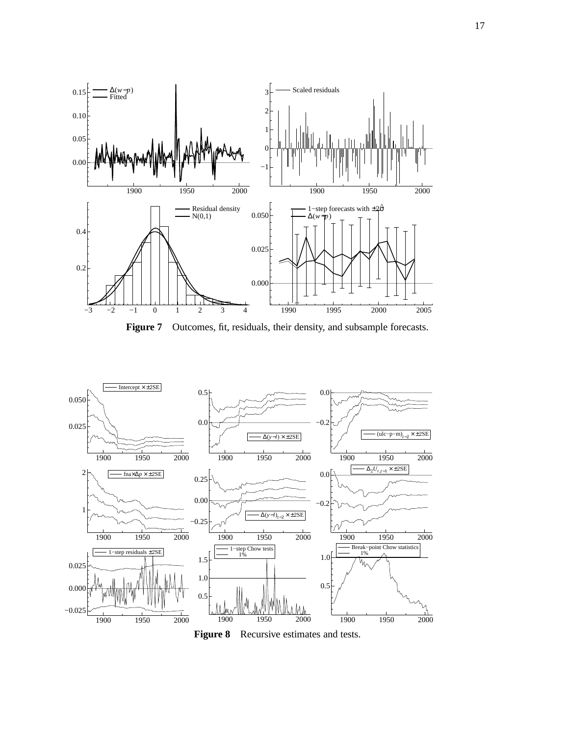

Figure 7 Outcomes, fit, residuals, their density, and subsample forecasts.



**Figure 8** Recursive estimates and tests.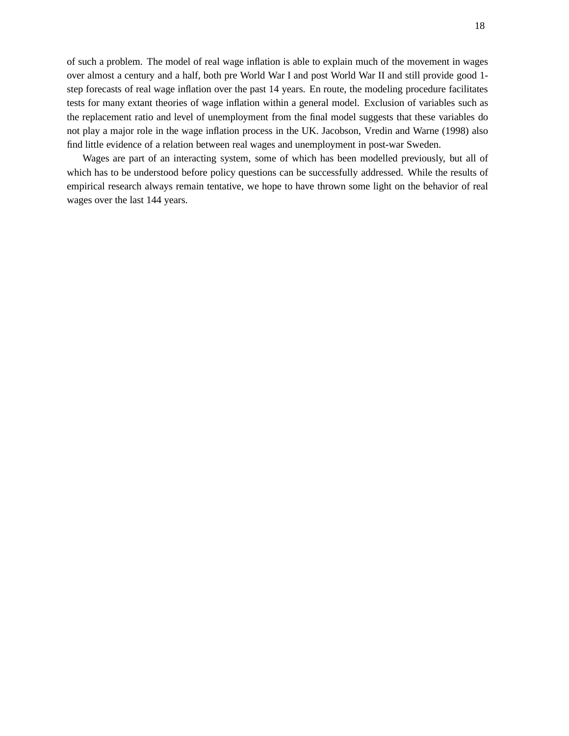of such a problem. The model of real wage inflation is able to explain much of the movement in wages over almost a century and a half, both pre World War I and post World War II and still provide good 1 step forecasts of real wage inflation over the past 14 years. En route, the modeling procedure facilitates tests for many extant theories of wage inflation within a general model. Exclusion of variables such as the replacement ratio and level of unemployment from the final model suggests that these variables do not play a major role in the wage inflation process in the UK. Jacobson, Vredin and Warne (1998) also find little evidence of a relation between real wages and unemployment in post-war Sweden.

Wages are part of an interacting system, some of which has been modelled previously, but all of which has to be understood before policy questions can be successfully addressed. While the results of empirical research always remain tentative, we hope to have thrown some light on the behavior of real wages over the last 144 years.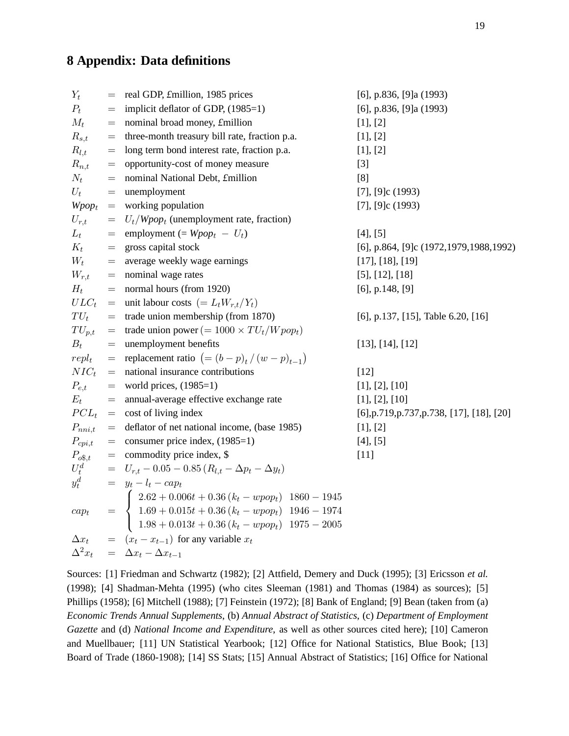# **8 Appendix: Data definitions**

| $Y_t$                  | $=$                                          | real GDP, £million, 1985 prices                                                                                                                                                                                                                    | [6], p.836, [9]a $(1993)$                                |  |
|------------------------|----------------------------------------------|----------------------------------------------------------------------------------------------------------------------------------------------------------------------------------------------------------------------------------------------------|----------------------------------------------------------|--|
| $P_t$                  | $=$                                          | implicit deflator of GDP, (1985=1)                                                                                                                                                                                                                 | [6], p.836, [9]a $(1993)$                                |  |
| $M_t$                  | $=$                                          | nominal broad money, £million                                                                                                                                                                                                                      | [1], [2]                                                 |  |
| $R_{s,t}$              | $\displaystyle \qquad \qquad =\qquad \qquad$ | three-month treasury bill rate, fraction p.a.                                                                                                                                                                                                      | [1], [2]                                                 |  |
| $R_{l,t}$              | $=$                                          | long term bond interest rate, fraction p.a.                                                                                                                                                                                                        | [1], [2]                                                 |  |
| $R_{n,t}$              | $=$                                          | opportunity-cost of money measure                                                                                                                                                                                                                  | $[3]$                                                    |  |
| $N_t$                  | $=$                                          | nominal National Debt, £million                                                                                                                                                                                                                    | [8]                                                      |  |
| $U_t$                  | $=$                                          | unemployment                                                                                                                                                                                                                                       | $[7]$ , [9]c (1993)                                      |  |
|                        |                                              | $Wpop_t$ = working population                                                                                                                                                                                                                      | $[7]$ , [9]c (1993)                                      |  |
| $U_{r,t}$              |                                              | $= U_t / Wpop_t$ (unemployment rate, fraction)                                                                                                                                                                                                     |                                                          |  |
| $L_t$                  |                                              | = employment (= $Wpop_t - U_t$ )                                                                                                                                                                                                                   | [4], [5]                                                 |  |
| $K_t$                  |                                              | $=$ gross capital stock                                                                                                                                                                                                                            | [6], p.864, [9]c (1972, 1979, 1988, 1992)                |  |
|                        |                                              | $W_t$ = average weekly wage earnings                                                                                                                                                                                                               | [17], [18], [19]                                         |  |
|                        |                                              | $W_{r,t}$ = nominal wage rates                                                                                                                                                                                                                     | $[5]$ , $[12]$ , $[18]$                                  |  |
| $H_t$                  |                                              | $=$ normal hours (from 1920)                                                                                                                                                                                                                       | $[6]$ , p.148, $[9]$                                     |  |
|                        |                                              | $ULC_t$ = unit labour costs $(= L_t W_{r,t}/Y_t)$                                                                                                                                                                                                  |                                                          |  |
| $TU_t$                 |                                              | $=$ trade union membership (from 1870)                                                                                                                                                                                                             | [6], p.137, [15], Table 6.20, [16]                       |  |
| $TU_{p,t}$             |                                              | = trade union power (= $1000 \times TU_t/ Wpop_t$ )                                                                                                                                                                                                |                                                          |  |
| $B_t$                  |                                              | $=$ unemployment benefits                                                                                                                                                                                                                          | [13], [14], [12]                                         |  |
|                        |                                              | $repl_t$ = replacement ratio $(=(b-p)_t/(w-p)_{t-1})$                                                                                                                                                                                              |                                                          |  |
| $NIC_t$                |                                              | $=$ national insurance contributions                                                                                                                                                                                                               | $[12]$                                                   |  |
| $P_{e,t}$              |                                              | $=$ world prices, (1985=1)                                                                                                                                                                                                                         | [1], [2], [10]                                           |  |
| $E_t$                  |                                              | $=$ annual-average effective exchange rate                                                                                                                                                                                                         | [1], [2], [10]                                           |  |
|                        |                                              | $PCL_t$ = cost of living index                                                                                                                                                                                                                     | $[6]$ , p. 719, p. 737, p. 738, $[17]$ , $[18]$ , $[20]$ |  |
| $P_{nni,t}$            |                                              | $=$ deflator of net national income, (base 1985)                                                                                                                                                                                                   | [1], [2]                                                 |  |
| $P_{cpi,t}$            |                                              | $=$ consumer price index, (1985=1)                                                                                                                                                                                                                 | [4], [5]                                                 |  |
| $P_{o^{\mathsf{g}},t}$ |                                              | $=$ commodity price index, \$                                                                                                                                                                                                                      | $[11]$                                                   |  |
| $U_t^d$                |                                              | $= U_{r,t} - 0.05 - 0.85 (R_{l,t} - \Delta p_t - \Delta y_t)$                                                                                                                                                                                      |                                                          |  |
|                        |                                              |                                                                                                                                                                                                                                                    |                                                          |  |
|                        |                                              |                                                                                                                                                                                                                                                    |                                                          |  |
|                        |                                              |                                                                                                                                                                                                                                                    |                                                          |  |
|                        |                                              | $y_t^{\stackrel{.}{d}}$ = $y_t - l_t - cap_t$<br>$cap_t$ = $\begin{cases} 2.62 + 0.006t + 0.36 (k_t - wpop_t) & 1860 - 1945 \\ 1.69 + 0.015t + 0.36 (k_t - wpop_t) & 1946 - 1974 \\ 1.98 + 0.013t + 0.36 (k_t - wpop_t) & 1975 - 2005 \end{cases}$ |                                                          |  |
|                        |                                              | $\Delta x_t$ = $(x_t - x_{t-1})$ for any variable $x_t$                                                                                                                                                                                            |                                                          |  |
| $\Delta^2 x_t$         |                                              | $= \Delta x_t - \Delta x_{t-1}$                                                                                                                                                                                                                    |                                                          |  |

Sources: [1] Friedman and Schwartz (1982); [2] Attfield, Demery and Duck (1995); [3] Ericsson *et al.* (1998); [4] Shadman-Mehta (1995) (who cites Sleeman (1981) and Thomas (1984) as sources); [5] Phillips (1958); [6] Mitchell (1988); [7] Feinstein (1972); [8] Bank of England; [9] Bean (taken from (a) *Economic Trends Annual Supplements*, (b) *Annual Abstract of Statistics*, (c) *Department of Employment Gazette* and (d) *National Income and Expenditure*, as well as other sources cited here); [10] Cameron and Muellbauer; [11] UN Statistical Yearbook; [12] Office for National Statistics, Blue Book; [13] Board of Trade (1860-1908); [14] SS Stats; [15] Annual Abstract of Statistics; [16] Office for National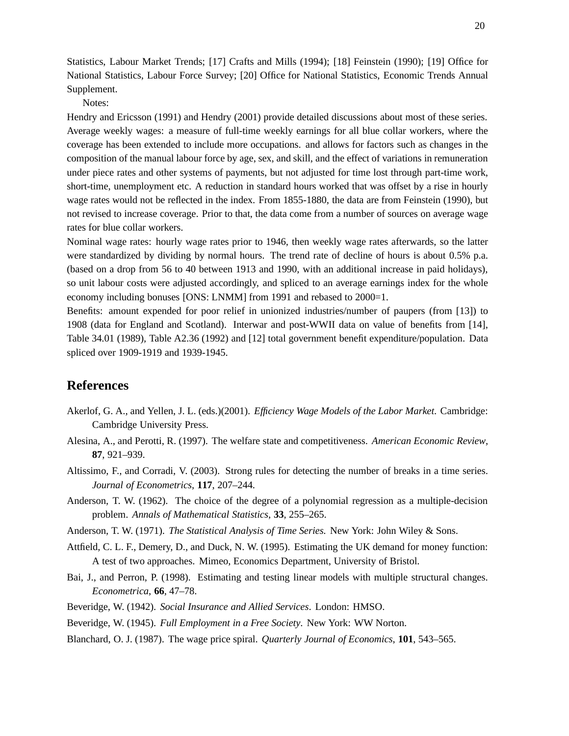Statistics, Labour Market Trends; [17] Crafts and Mills (1994); [18] Feinstein (1990); [19] Office for National Statistics, Labour Force Survey; [20] Office for National Statistics, Economic Trends Annual Supplement.

Notes:

Hendry and Ericsson (1991) and Hendry (2001) provide detailed discussions about most of these series. Average weekly wages: a measure of full-time weekly earnings for all blue collar workers, where the coverage has been extended to include more occupations. and allows for factors such as changes in the composition of the manual labour force by age, sex, and skill, and the effect of variations in remuneration under piece rates and other systems of payments, but not adjusted for time lost through part-time work, short-time, unemployment etc. A reduction in standard hours worked that was offset by a rise in hourly wage rates would not be reflected in the index. From 1855-1880, the data are from Feinstein (1990), but not revised to increase coverage. Prior to that, the data come from a number of sources on average wage rates for blue collar workers.

Nominal wage rates: hourly wage rates prior to 1946, then weekly wage rates afterwards, so the latter were standardized by dividing by normal hours. The trend rate of decline of hours is about 0.5% p.a. (based on a drop from 56 to 40 between 1913 and 1990, with an additional increase in paid holidays), so unit labour costs were adjusted accordingly, and spliced to an average earnings index for the whole economy including bonuses [ONS: LNMM] from 1991 and rebased to 2000=1.

Benefits: amount expended for poor relief in unionized industries/number of paupers (from [13]) to 1908 (data for England and Scotland). Interwar and post-WWII data on value of benefits from [14], Table 34.01 (1989), Table A2.36 (1992) and [12] total government benefit expenditure/population. Data spliced over 1909-1919 and 1939-1945.

### **References**

- Akerlof, G. A., and Yellen, J. L. (eds.)(2001). *Efficiency Wage Models of the Labor Market*. Cambridge: Cambridge University Press.
- Alesina, A., and Perotti, R. (1997). The welfare state and competitiveness. *American Economic Review*, **87**, 921–939.
- Altissimo, F., and Corradi, V. (2003). Strong rules for detecting the number of breaks in a time series. *Journal of Econometrics*, **117**, 207–244.
- Anderson, T. W. (1962). The choice of the degree of a polynomial regression as a multiple-decision problem. *Annals of Mathematical Statistics*, **33**, 255–265.
- Anderson, T. W. (1971). *The Statistical Analysis of Time Series.* New York: John Wiley & Sons.
- Attfield, C. L. F., Demery, D., and Duck, N. W. (1995). Estimating the UK demand for money function: A test of two approaches. Mimeo, Economics Department, University of Bristol.
- Bai, J., and Perron, P. (1998). Estimating and testing linear models with multiple structural changes. *Econometrica*, **66**, 47–78.
- Beveridge, W. (1942). *Social Insurance and Allied Services*. London: HMSO.
- Beveridge, W. (1945). *Full Employment in a Free Society*. New York: WW Norton.
- Blanchard, O. J. (1987). The wage price spiral. *Quarterly Journal of Economics*, **101**, 543–565.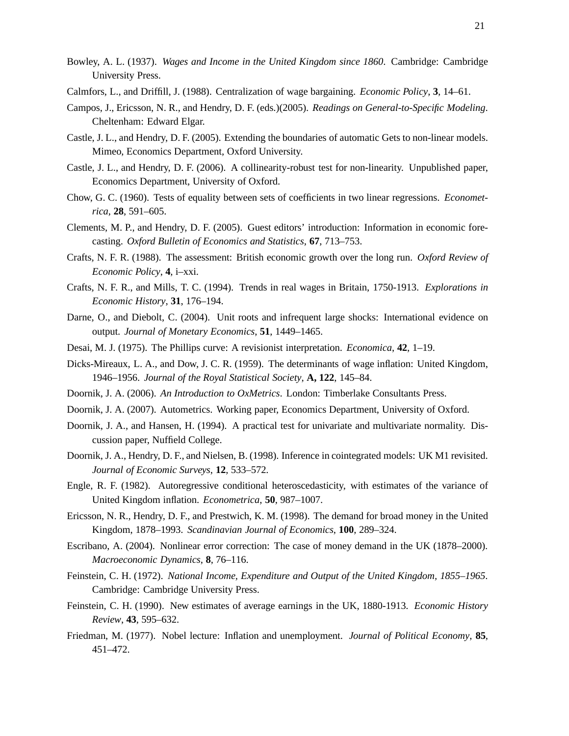- Bowley, A. L. (1937). *Wages and Income in the United Kingdom since 1860*. Cambridge: Cambridge University Press.
- Calmfors, L., and Driffill, J. (1988). Centralization of wage bargaining. *Economic Policy*, **3**, 14–61.
- Campos, J., Ericsson, N. R., and Hendry, D. F. (eds.)(2005). *Readings on General-to-Specific Modeling*. Cheltenham: Edward Elgar.
- Castle, J. L., and Hendry, D. F. (2005). Extending the boundaries of automatic Gets to non-linear models. Mimeo, Economics Department, Oxford University.
- Castle, J. L., and Hendry, D. F. (2006). A collinearity-robust test for non-linearity. Unpublished paper, Economics Department, University of Oxford.
- Chow, G. C. (1960). Tests of equality between sets of coefficients in two linear regressions. *Econometrica*, **28**, 591–605.
- Clements, M. P., and Hendry, D. F. (2005). Guest editors' introduction: Information in economic forecasting. *Oxford Bulletin of Economics and Statistics*, **67**, 713–753.
- Crafts, N. F. R. (1988). The assessment: British economic growth over the long run. *Oxford Review of Economic Policy*, **4**, i–xxi.
- Crafts, N. F. R., and Mills, T. C. (1994). Trends in real wages in Britain, 1750-1913. *Explorations in Economic History*, **31**, 176–194.
- Darne, O., and Diebolt, C. (2004). Unit roots and infrequent large shocks: International evidence on output. *Journal of Monetary Economics*, **51**, 1449–1465.
- Desai, M. J. (1975). The Phillips curve: A revisionist interpretation. *Economica*, **42**, 1–19.
- Dicks-Mireaux, L. A., and Dow, J. C. R. (1959). The determinants of wage inflation: United Kingdom, 1946–1956. *Journal of the Royal Statistical Society*, **A, 122**, 145–84.
- Doornik, J. A. (2006). *An Introduction to OxMetrics*. London: Timberlake Consultants Press.
- Doornik, J. A. (2007). Autometrics. Working paper, Economics Department, University of Oxford.
- Doornik, J. A., and Hansen, H. (1994). A practical test for univariate and multivariate normality. Discussion paper, Nuffield College.
- Doornik, J. A., Hendry, D. F., and Nielsen, B. (1998). Inference in cointegrated models: UK M1 revisited. *Journal of Economic Surveys*, **12**, 533–572.
- Engle, R. F. (1982). Autoregressive conditional heteroscedasticity, with estimates of the variance of United Kingdom inflation. *Econometrica*, **50**, 987–1007.
- Ericsson, N. R., Hendry, D. F., and Prestwich, K. M. (1998). The demand for broad money in the United Kingdom, 1878–1993. *Scandinavian Journal of Economics*, **100**, 289–324.
- Escribano, A. (2004). Nonlinear error correction: The case of money demand in the UK (1878–2000). *Macroeconomic Dynamics*, **8**, 76–116.
- Feinstein, C. H. (1972). *National Income, Expenditure and Output of the United Kingdom, 1855–1965*. Cambridge: Cambridge University Press.
- Feinstein, C. H. (1990). New estimates of average earnings in the UK, 1880-1913. *Economic History Review*, **43**, 595–632.
- Friedman, M. (1977). Nobel lecture: Inflation and unemployment. *Journal of Political Economy*, **85**, 451–472.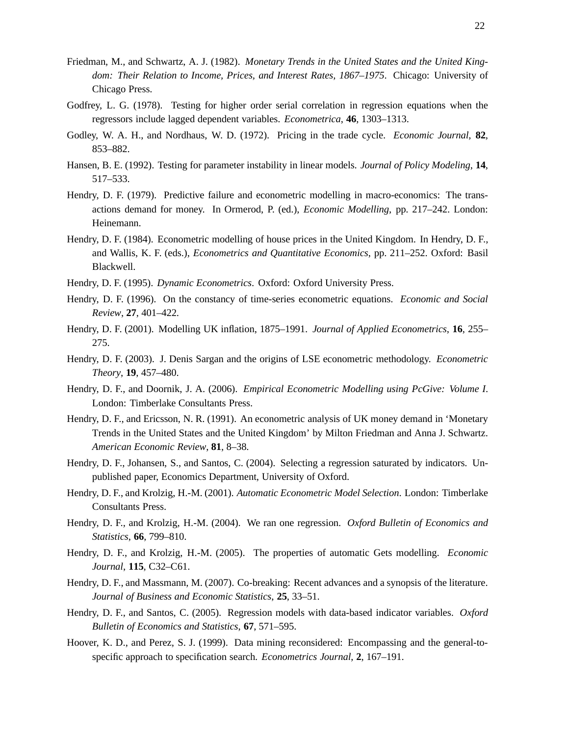- Friedman, M., and Schwartz, A. J. (1982). *Monetary Trends in the United States and the United Kingdom: Their Relation to Income, Prices, and Interest Rates, 1867–1975*. Chicago: University of Chicago Press.
- Godfrey, L. G. (1978). Testing for higher order serial correlation in regression equations when the regressors include lagged dependent variables. *Econometrica*, **46**, 1303–1313.
- Godley, W. A. H., and Nordhaus, W. D. (1972). Pricing in the trade cycle. *Economic Journal*, **82**, 853–882.
- Hansen, B. E. (1992). Testing for parameter instability in linear models. *Journal of Policy Modeling*, **14**, 517–533.
- Hendry, D. F. (1979). Predictive failure and econometric modelling in macro-economics: The transactions demand for money. In Ormerod, P. (ed.), *Economic Modelling*, pp. 217–242. London: Heinemann.
- Hendry, D. F. (1984). Econometric modelling of house prices in the United Kingdom. In Hendry, D. F., and Wallis, K. F. (eds.), *Econometrics and Quantitative Economics*, pp. 211–252. Oxford: Basil Blackwell.
- Hendry, D. F. (1995). *Dynamic Econometrics*. Oxford: Oxford University Press.
- Hendry, D. F. (1996). On the constancy of time-series econometric equations. *Economic and Social Review*, **27**, 401–422.
- Hendry, D. F. (2001). Modelling UK inflation, 1875–1991. *Journal of Applied Econometrics*, **16**, 255– 275.
- Hendry, D. F. (2003). J. Denis Sargan and the origins of LSE econometric methodology. *Econometric Theory*, **19**, 457–480.
- Hendry, D. F., and Doornik, J. A. (2006). *Empirical Econometric Modelling using PcGive: Volume I*. London: Timberlake Consultants Press.
- Hendry, D. F., and Ericsson, N. R. (1991). An econometric analysis of UK money demand in 'Monetary Trends in the United States and the United Kingdom' by Milton Friedman and Anna J. Schwartz. *American Economic Review*, **81**, 8–38.
- Hendry, D. F., Johansen, S., and Santos, C. (2004). Selecting a regression saturated by indicators. Unpublished paper, Economics Department, University of Oxford.
- Hendry, D. F., and Krolzig, H.-M. (2001). *Automatic Econometric Model Selection*. London: Timberlake Consultants Press.
- Hendry, D. F., and Krolzig, H.-M. (2004). We ran one regression. *Oxford Bulletin of Economics and Statistics*, **66**, 799–810.
- Hendry, D. F., and Krolzig, H.-M. (2005). The properties of automatic Gets modelling. *Economic Journal*, **115**, C32–C61.
- Hendry, D. F., and Massmann, M. (2007). Co-breaking: Recent advances and a synopsis of the literature. *Journal of Business and Economic Statistics*, **25**, 33–51.
- Hendry, D. F., and Santos, C. (2005). Regression models with data-based indicator variables. *Oxford Bulletin of Economics and Statistics*, **67**, 571–595.
- Hoover, K. D., and Perez, S. J. (1999). Data mining reconsidered: Encompassing and the general-tospecific approach to specification search. *Econometrics Journal*, **2**, 167–191.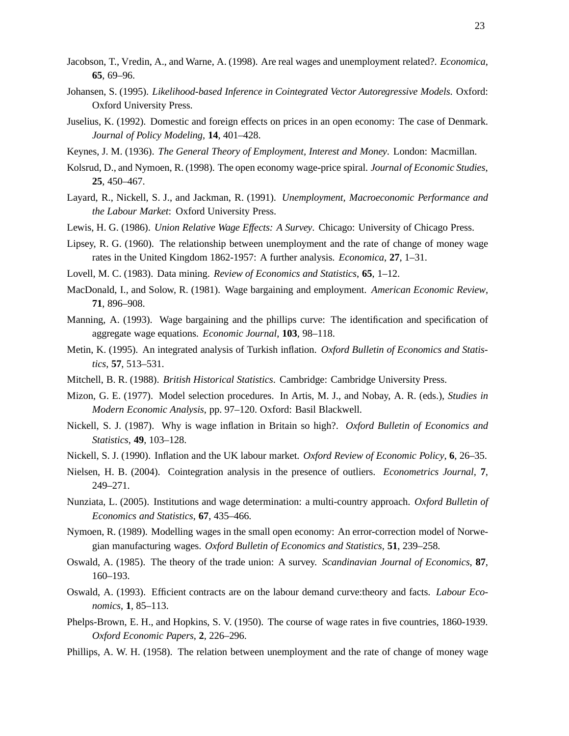- Jacobson, T., Vredin, A., and Warne, A. (1998). Are real wages and unemployment related?. *Economica*, **65**, 69–96.
- Johansen, S. (1995). *Likelihood-based Inference in Cointegrated Vector Autoregressive Models*. Oxford: Oxford University Press.
- Juselius, K. (1992). Domestic and foreign effects on prices in an open economy: The case of Denmark. *Journal of Policy Modeling*, **14**, 401–428.
- Keynes, J. M. (1936). *The General Theory of Employment, Interest and Money*. London: Macmillan.
- Kolsrud, D., and Nymoen, R. (1998). The open economy wage-price spiral. *Journal of Economic Studies*, **25**, 450–467.
- Layard, R., Nickell, S. J., and Jackman, R. (1991). *Unemployment, Macroeconomic Performance and the Labour Market*: Oxford University Press.
- Lewis, H. G. (1986). *Union Relative Wage Effects: A Survey*. Chicago: University of Chicago Press.
- Lipsey, R. G. (1960). The relationship between unemployment and the rate of change of money wage rates in the United Kingdom 1862-1957: A further analysis. *Economica*, **27**, 1–31.
- Lovell, M. C. (1983). Data mining. *Review of Economics and Statistics*, **65**, 1–12.
- MacDonald, I., and Solow, R. (1981). Wage bargaining and employment. *American Economic Review*, **71**, 896–908.
- Manning, A. (1993). Wage bargaining and the phillips curve: The identification and specification of aggregate wage equations. *Economic Journal*, **103**, 98–118.
- Metin, K. (1995). An integrated analysis of Turkish inflation. *Oxford Bulletin of Economics and Statistics*, **57**, 513–531.
- Mitchell, B. R. (1988). *British Historical Statistics*. Cambridge: Cambridge University Press.
- Mizon, G. E. (1977). Model selection procedures. In Artis, M. J., and Nobay, A. R. (eds.), *Studies in Modern Economic Analysis*, pp. 97–120. Oxford: Basil Blackwell.
- Nickell, S. J. (1987). Why is wage inflation in Britain so high?. *Oxford Bulletin of Economics and Statistics*, **49**, 103–128.
- Nickell, S. J. (1990). Inflation and the UK labour market. *Oxford Review of Economic Policy*, **6**, 26–35.
- Nielsen, H. B. (2004). Cointegration analysis in the presence of outliers. *Econometrics Journal*, **7**, 249–271.
- Nunziata, L. (2005). Institutions and wage determination: a multi-country approach. *Oxford Bulletin of Economics and Statistics*, **67**, 435–466.
- Nymoen, R. (1989). Modelling wages in the small open economy: An error-correction model of Norwegian manufacturing wages. *Oxford Bulletin of Economics and Statistics*, **51**, 239–258.
- Oswald, A. (1985). The theory of the trade union: A survey. *Scandinavian Journal of Economics*, **87**, 160–193.
- Oswald, A. (1993). Efficient contracts are on the labour demand curve:theory and facts. *Labour Economics*, **1**, 85–113.
- Phelps-Brown, E. H., and Hopkins, S. V. (1950). The course of wage rates in five countries, 1860-1939. *Oxford Economic Papers*, **2**, 226–296.
- Phillips, A. W. H. (1958). The relation between unemployment and the rate of change of money wage